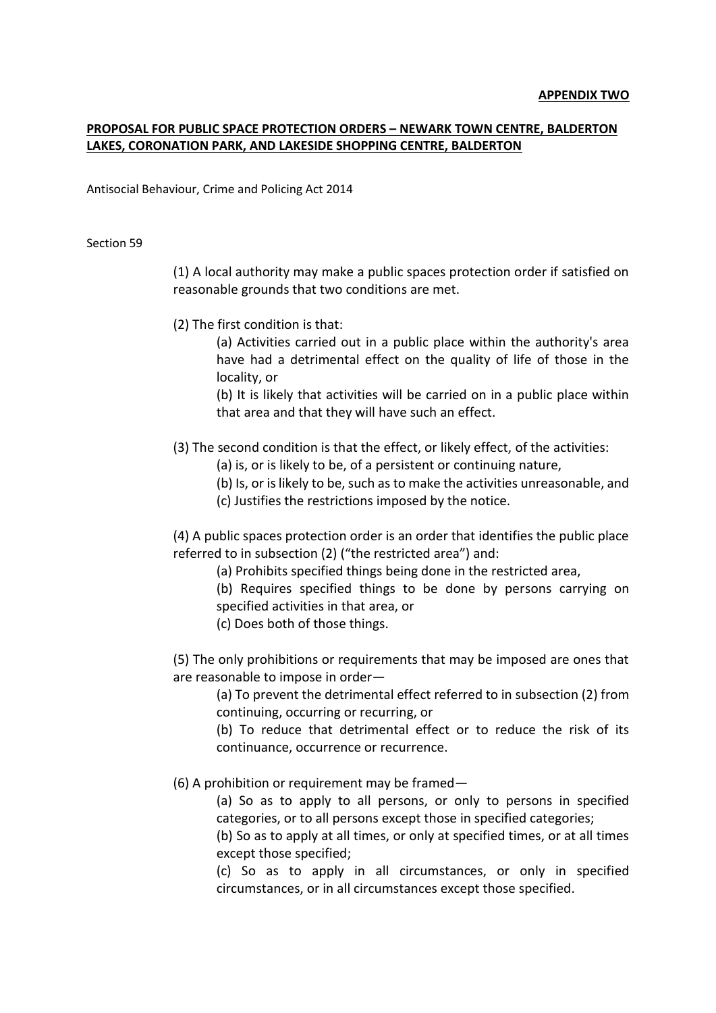## **PROPOSAL FOR PUBLIC SPACE PROTECTION ORDERS – NEWARK TOWN CENTRE, BALDERTON LAKES, CORONATION PARK, AND LAKESIDE SHOPPING CENTRE, BALDERTON**

Antisocial Behaviour, Crime and Policing Act 2014

Section 59

(1) A local authority may make a public spaces protection order if satisfied on reasonable grounds that two conditions are met.

(2) The first condition is that:

(a) Activities carried out in a public place within the authority's area have had a detrimental effect on the quality of life of those in the locality, or

(b) It is likely that activities will be carried on in a public place within that area and that they will have such an effect.

(3) The second condition is that the effect, or likely effect, of the activities:

(a) is, or is likely to be, of a persistent or continuing nature,

(b) Is, or is likely to be, such as to make the activities unreasonable, and

(c) Justifies the restrictions imposed by the notice.

(4) A public spaces protection order is an order that identifies the public place referred to in subsection (2) ("the restricted area") and:

(a) Prohibits specified things being done in the restricted area,

(b) Requires specified things to be done by persons carrying on specified activities in that area, or

(c) Does both of those things.

(5) The only prohibitions or requirements that may be imposed are ones that are reasonable to impose in order—

(a) To prevent the detrimental effect referred to in subsection (2) from continuing, occurring or recurring, or

(b) To reduce that detrimental effect or to reduce the risk of its continuance, occurrence or recurrence.

(6) A prohibition or requirement may be framed—

(a) So as to apply to all persons, or only to persons in specified categories, or to all persons except those in specified categories;

(b) So as to apply at all times, or only at specified times, or at all times except those specified;

(c) So as to apply in all circumstances, or only in specified circumstances, or in all circumstances except those specified.